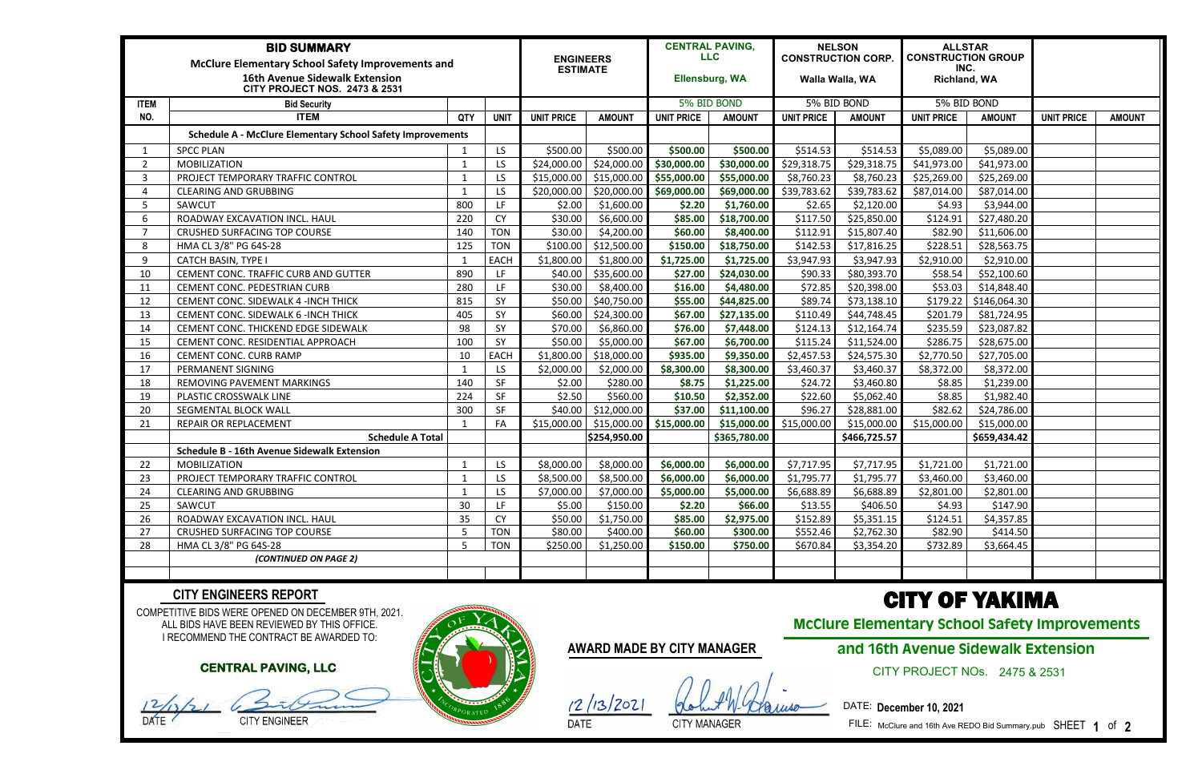| <b>BID SUMMARY</b><br><b>McClure Elementary School Safety Improvements and</b><br><b>16th Avenue Sidewalk Extension</b><br><b>CITY PROJECT NOS. 2473 &amp; 2531</b> |                                                                   |              |             | <b>ENGINEERS</b><br><b>ESTIMATE</b> |               | <b>CENTRAL PAVING,</b><br><b>LLC</b><br><b>Ellensburg, WA</b> |               | <b>NELSON</b><br><b>CONSTRUCTION CORP.</b><br>Walla Walla, WA |               | <b>ALLSTAR</b><br><b>CONSTRUCTION GROUP</b><br>INC.<br><b>Richland, WA</b> |                         |                   |               |
|---------------------------------------------------------------------------------------------------------------------------------------------------------------------|-------------------------------------------------------------------|--------------|-------------|-------------------------------------|---------------|---------------------------------------------------------------|---------------|---------------------------------------------------------------|---------------|----------------------------------------------------------------------------|-------------------------|-------------------|---------------|
| <b>ITEM</b>                                                                                                                                                         | <b>Bid Security</b>                                               |              |             |                                     |               | 5% BID BOND                                                   |               | 5% BID BOND                                                   |               | 5% BID BOND                                                                |                         |                   |               |
| NO.                                                                                                                                                                 | <b>ITEM</b>                                                       | QTY          | <b>UNIT</b> | <b>UNIT PRICE</b>                   | <b>AMOUNT</b> | <b>UNIT PRICE</b>                                             | <b>AMOUNT</b> | <b>UNIT PRICE</b>                                             | <b>AMOUNT</b> | <b>UNIT PRICE</b>                                                          | <b>AMOUNT</b>           | <b>UNIT PRICE</b> | <b>AMOUNT</b> |
|                                                                                                                                                                     | <b>Schedule A - McClure Elementary School Safety Improvements</b> |              |             |                                     |               |                                                               |               |                                                               |               |                                                                            |                         |                   |               |
|                                                                                                                                                                     | <b>SPCC PLAN</b>                                                  |              | LS.         | \$500.00                            | \$500.00      | \$500.00                                                      | \$500.00      | \$514.53                                                      | \$514.53      | \$5,089.00                                                                 | \$5,089.00              |                   |               |
| $\overline{2}$                                                                                                                                                      | <b>MOBILIZATION</b>                                               | -1           | LS          | \$24,000.00                         | \$24,000.00   | \$30,000.00                                                   | \$30,000.00   | \$29,318.75                                                   | \$29,318.75   | \$41,973.00                                                                | \$41,973.00             |                   |               |
| $\overline{3}$                                                                                                                                                      | PROJECT TEMPORARY TRAFFIC CONTROL                                 |              | LS          | \$15,000.00                         | \$15,000.00   | \$55,000.00                                                   | \$55,000.00   | \$8,760.23                                                    | \$8,760.23    | \$25,269.00                                                                | \$25,269.00             |                   |               |
| $\Delta$                                                                                                                                                            | <b>CLEARING AND GRUBBING</b>                                      |              | LS          | \$20,000.00                         | \$20,000.00   | \$69,000.00                                                   | \$69,000.00   | \$39,783.62                                                   | \$39,783.62   | \$87,014.00                                                                | \$87,014.00             |                   |               |
| 5                                                                                                                                                                   | SAWCUT                                                            | 800          | LF          | \$2.00                              | \$1,600.00    | \$2.20                                                        | \$1,760.00    | \$2.65                                                        | \$2,120.00    | \$4.93                                                                     | \$3,944.00              |                   |               |
| 6                                                                                                                                                                   | ROADWAY EXCAVATION INCL. HAUL                                     | 220          | <b>CY</b>   | \$30.00                             | \$6,600.00    | \$85.00                                                       | \$18,700.00   | \$117.50                                                      | \$25,850.00   | \$124.91                                                                   | \$27,480.20             |                   |               |
| 7                                                                                                                                                                   | CRUSHED SURFACING TOP COURSE                                      | 140          | <b>TON</b>  | \$30.00                             | \$4,200.00    | \$60.00                                                       | \$8,400.00    | \$112.91                                                      | \$15,807.40   | \$82.90                                                                    | \$11,606.00             |                   |               |
| 8                                                                                                                                                                   | HMA CL 3/8" PG 64S-28                                             | 125          | <b>TON</b>  | \$100.00                            | \$12,500.00   | \$150.00                                                      | \$18,750.00   | \$142.53                                                      | \$17,816.25   | \$228.51                                                                   | \$28,563.75             |                   |               |
| 9                                                                                                                                                                   | <b>CATCH BASIN, TYPE I</b>                                        |              | <b>EACH</b> | \$1,800.00                          | \$1,800.00    | \$1,725.00                                                    | \$1,725.00    | \$3,947.93                                                    | \$3,947.93    | \$2,910.00                                                                 | \$2,910.00              |                   |               |
| 10                                                                                                                                                                  | CEMENT CONC. TRAFFIC CURB AND GUTTER                              | 890          | LF          | \$40.00                             | \$35,600.00   | \$27.00                                                       | \$24,030.00   | \$90.33                                                       | \$80,393.70   | \$58.54                                                                    | \$52,100.60             |                   |               |
| 11                                                                                                                                                                  | CEMENT CONC. PEDESTRIAN CURB                                      | 280          | LF          | \$30.00                             | \$8,400.00    | \$16.00                                                       | \$4,480.00    | \$72.85                                                       | \$20,398.00   | \$53.03                                                                    | \$14,848.40             |                   |               |
| 12                                                                                                                                                                  | CEMENT CONC. SIDEWALK 4 - INCH THICK                              | 815          | SY          | \$50.00                             | \$40,750.00   | \$55.00                                                       | \$44,825.00   | \$89.74                                                       | \$73,138.10   | \$179.22                                                                   | \$146,064.30            |                   |               |
| 13                                                                                                                                                                  | CEMENT CONC. SIDEWALK 6 - INCH THICK                              | 405          | SY          | \$60.00                             | \$24,300.00   | \$67.00                                                       | \$27,135.00   | \$110.49                                                      | \$44,748.45   | \$201.79                                                                   | \$81,724.95             |                   |               |
| 14                                                                                                                                                                  | CEMENT CONC. THICKEND EDGE SIDEWALK                               | 98           | SY          | \$70.00                             | \$6,860.00    | \$76.00                                                       | \$7,448.00    | \$124.13                                                      | \$12,164.74   | \$235.59                                                                   | \$23,087.82             |                   |               |
| 15                                                                                                                                                                  | CEMENT CONC. RESIDENTIAL APPROACH                                 | 100          | SY          | \$50.00                             | \$5,000.00    | \$67.00                                                       | \$6,700.00    | \$115.24                                                      | \$11,524.00   | \$286.75                                                                   | \$28,675.00             |                   |               |
| 16                                                                                                                                                                  | CEMENT CONC. CURB RAMP                                            | 10           | <b>EACH</b> | \$1,800.00                          | \$18,000.00   | \$935.00                                                      | \$9,350.00    | \$2,457.53                                                    | \$24,575.30   | \$2,770.50                                                                 | \$27,705.00             |                   |               |
| 17                                                                                                                                                                  | PERMANENT SIGNING                                                 |              | LS.         | \$2,000.00                          | \$2,000.00    | \$8,300.00                                                    | \$8,300.00    | \$3,460.37                                                    | \$3,460.37    | \$8,372.00                                                                 | \$8,372.00              |                   |               |
| 18                                                                                                                                                                  | REMOVING PAVEMENT MARKINGS                                        | 140          | <b>SF</b>   | \$2.00                              | \$280.00      | \$8.75                                                        | \$1,225.00    | \$24.72                                                       | \$3,460.80    | \$8.85                                                                     | \$1,239.00              |                   |               |
| 19                                                                                                                                                                  | PLASTIC CROSSWALK LINE                                            | 224          | <b>SF</b>   | \$2.50                              | \$560.00      | \$10.50                                                       | \$2,352.00    | \$22.60                                                       | \$5,062.40    | \$8.85                                                                     | \$1,982.40              |                   |               |
| 20                                                                                                                                                                  | SEGMENTAL BLOCK WALL                                              | 300          | <b>SF</b>   | \$40.00                             | \$12,000.00   | \$37.00                                                       | \$11,100.00   | \$96.27                                                       | \$28,881.00   | \$82.62                                                                    | \$24,786.00             |                   |               |
| 21                                                                                                                                                                  | REPAIR OR REPLACEMENT                                             |              | FA          | \$15,000.00                         | \$15,000.00   | \$15,000.00                                                   | \$15,000.00   | \$15,000.00                                                   | \$15,000.00   | \$15,000.00                                                                | \$15,000.00             |                   |               |
|                                                                                                                                                                     | <b>Schedule A Total</b>                                           |              |             |                                     | \$254,950.00  |                                                               | \$365,780.00  |                                                               | \$466,725.57  |                                                                            | \$659,434.42            |                   |               |
|                                                                                                                                                                     | <b>Schedule B - 16th Avenue Sidewalk Extension</b>                |              |             |                                     |               |                                                               |               |                                                               |               |                                                                            |                         |                   |               |
| 22                                                                                                                                                                  | <b>MOBILIZATION</b>                                               |              | LS          | \$8,000.00                          | \$8,000.00    | \$6,000.00                                                    | \$6,000.00    | \$7,717.95                                                    | \$7,717.95    | \$1,721.00                                                                 | \$1,721.00              |                   |               |
| 23                                                                                                                                                                  | PROJECT TEMPORARY TRAFFIC CONTROL                                 | $\mathbf{1}$ | LS          |                                     |               |                                                               |               |                                                               |               |                                                                            | $$3,460.00$ $$3,460.00$ |                   |               |
| 24                                                                                                                                                                  | <b>CLEARING AND GRUBBING</b>                                      | $\mathbf{1}$ | LS.         | \$7,000.00                          | \$7,000.00    | \$5,000.00                                                    | \$5,000.00    | \$6,688.89                                                    | \$6,688.89    | \$2,801.00                                                                 | \$2,801.00              |                   |               |
| 25                                                                                                                                                                  | SAWCUT                                                            | 30           | LF          | \$5.00                              | \$150.00      | \$2.20                                                        | \$66.00       | \$13.55                                                       | \$406.50      | \$4.93                                                                     | \$147.90                |                   |               |
| 26                                                                                                                                                                  | ROADWAY EXCAVATION INCL. HAUL                                     | 35           | <b>CY</b>   | \$50.00                             | \$1,750.00    | \$85.00                                                       | \$2,975.00    | \$152.89                                                      | \$5,351.15    | \$124.51                                                                   | \$4,357.85              |                   |               |
| 27                                                                                                                                                                  | CRUSHED SURFACING TOP COURSE                                      | 5            | <b>TON</b>  | \$80.00                             | \$400.00      | \$60.00                                                       | \$300.00      | \$552.46                                                      | \$2,762.30    | \$82.90                                                                    | \$414.50                |                   |               |
| 28                                                                                                                                                                  | HMA CL 3/8" PG 64S-28                                             | .5           | <b>TON</b>  | \$250.00                            | \$1,250.00    | \$150.00                                                      | \$750.00      | \$670.84                                                      | \$3,354.20    | \$732.89                                                                   | \$3,664.45              |                   |               |
|                                                                                                                                                                     | (CONTINUED ON PAGE 2)                                             |              |             |                                     |               |                                                               |               |                                                               |               |                                                                            |                         |                   |               |
|                                                                                                                                                                     |                                                                   |              |             |                                     |               |                                                               |               |                                                               |               |                                                                            |                         |                   |               |

COMPETITIVE BIDS WERE OPENED ON DECEMBER 9TH, 2021. ALL BIDS HAVE BEEN REVIEWED BY THIS OFFICE. I RECOMMEND THE CONTRACT BE AWARDED TO:

#### **CITY ENGINEERS REPORT**

# **AWARD MADE BY CITY MANAGER**

 $\frac{(2/13/2021)}{DATE}$   $\frac{66h\mu f/h}{CITY}$ 

# CITY OF YAKIMA

**McClure Elementary School Safety Improvements**

CITY PROJECT NOs. 2475 & 2531

## DATE: **December 10, 2021**

FILE: McClure and 16th Ave REDO Bid Summary.pub SHEET **1** of **2**

## **CENTRAL PAVING, LLC**

CITY ENGINEER

# **and 16th Avenue Sidewalk Extension**